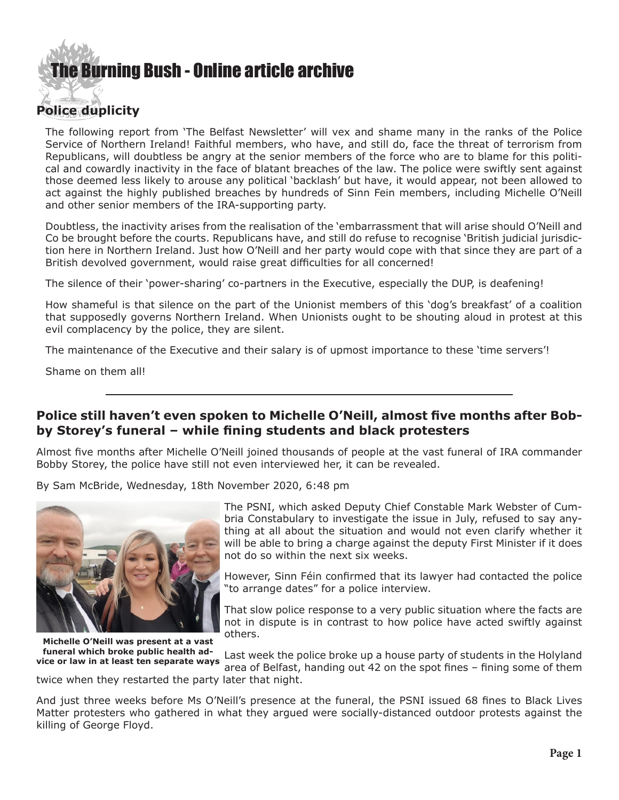## **E** Burning Bush - Online article archive

## **Police duplicity**

The following report from 'The Belfast Newsletter' will vex and shame many in the ranks of the Police Service of Northern Ireland! Faithful members, who have, and still do, face the threat of terrorism from Republicans, will doubtless be angry at the senior members of the force who are to blame for this political and cowardly inactivity in the face of blatant breaches of the law. The police were swiftly sent against those deemed less likely to arouse any political 'backlash' but have, it would appear, not been allowed to act against the highly published breaches by hundreds of Sinn Fein members, including Michelle O'Neill and other senior members of the IRA-supporting party.

Doubtless, the inactivity arises from the realisation of the 'embarrassment that will arise should O'Neill and Co be brought before the courts. Republicans have, and still do refuse to recognise 'British judicial jurisdiction here in Northern Ireland. Just how O'Neill and her party would cope with that since they are part of a British devolved government, would raise great difficulties for all concerned!

The silence of their 'power-sharing' co-partners in the Executive, especially the DUP, is deafening!

How shameful is that silence on the part of the Unionist members of this 'dog's breakfast' of a coalition that supposedly governs Northern Ireland. When Unionists ought to be shouting aloud in protest at this evil complacency by the police, they are silent.

The maintenance of the Executive and their salary is of upmost importance to these 'time servers'!

Shame on them all!

## **Police still haven't even spoken to Michelle O'Neill, almost five months after Bobby Storey's funeral – while fining students and black protesters**

Almost five months after Michelle O'Neill joined thousands of people at the vast funeral of IRA commander Bobby Storey, the police have still not even interviewed her, it can be revealed.

[By Sam McBride](https://www.newsletter.co.uk/news/politics/police-still-havent-even-spoken-michelle-oneill-almost-five-months-after-bobby-storeys-funeral-while-fining-students-and-black-protesters-3040402), Wednesday, 18th November 2020, 6:48 pm



**Michelle O'Neill was present at a vast funeral which broke public health advice or law in at least ten separate ways**

The PSNI, which asked Deputy Chief Constable Mark Webster of Cumbria Constabulary to investigate the issue in July, refused to say anything at all about the situation and would not even clarify whether it will be able to bring a charge against the deputy First Minister if it does not do so within the next six weeks.

However, Sinn Féin confirmed that its lawyer had contacted the police "to arrange dates" for a police interview.

That slow police response to a very public situation where the facts are not in dispute is in contrast to how police have acted swiftly against others.

Last week the police broke up a house party of students in the Holyland area of Belfast, handing out 42 on the spot fines – fining some of them

twice when they restarted the party later that night.

And just three weeks before Ms O'Neill's presence at the funeral, the PSNI issued 68 fines to Black Lives Matter protesters who gathered in what they argued were socially-distanced outdoor protests against the killing of George Floyd.